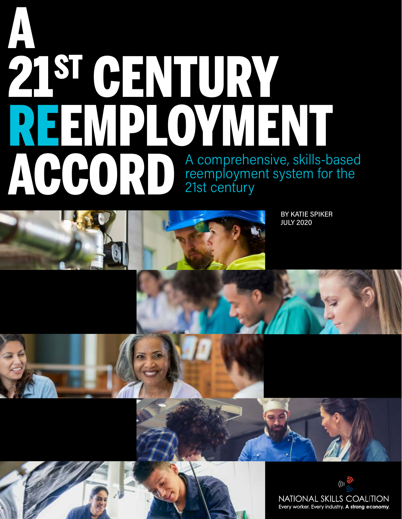# A comprehensive, skills-based reemployment system for the 21st century A 21ST CENTURY REEMPLOYMENT ACCORD





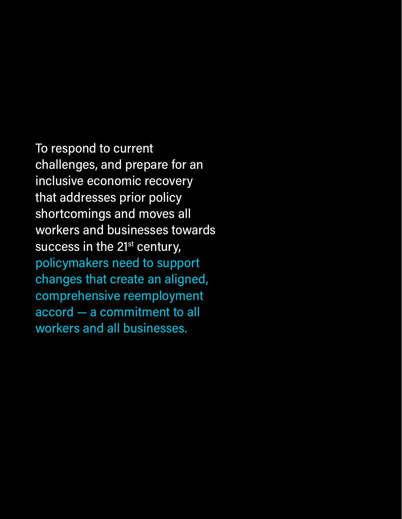To respond to current challenges, and prepare for an inclusive economic recovery that addresses prior policy shortcomings and moves all workers and businesses towards success in the 21<sup>st</sup> century, policymakers need to support changes that create an aligned, comprehensive reemployment accord — a commitment to all workers and all businesses.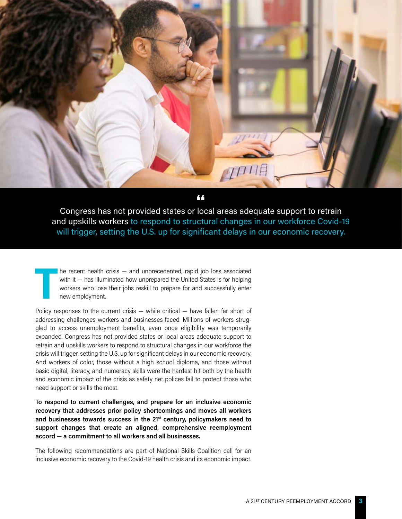

Congress has not provided states or local areas adequate support to retrain **"**and upskills workers to respond to structural changes in our workforce Covid-19 will trigger, setting the U.S. up for significant delays in our economic recovery.

**T** he recent health crisis — and unprecedented, rapid job loss associated with it – has illuminated how unprepared the United States is for helping workers who lose their jobs reskill to prepare for and successfully enter new employment.

Policy responses to the current crisis — while critical — have fallen far short of addressing challenges workers and businesses faced. Millions of workers struggled to access unemployment benefits, even once eligibility was temporarily expanded. Congress has not provided states or local areas adequate support to retrain and upskills workers to respond to structural changes in our workforce the crisis will trigger, setting the U.S. up for significant delays in our economic recovery. And workers of color, those without a high school diploma, and those without basic digital, literacy, and numeracy skills were the hardest hit both by the health and economic impact of the crisis as safety net polices fail to protect those who need support or skills the most.

**To respond to current challenges, and prepare for an inclusive economic recovery that addresses prior policy shortcomings and moves all workers and businesses towards success in the 21st century, policymakers need to support changes that create an aligned, comprehensive reemployment accord — a commitment to all workers and all businesses.** 

The following recommendations are part of National Skills Coalition call for an inclusive economic recovery to the Covid-19 health crisis and its economic impact.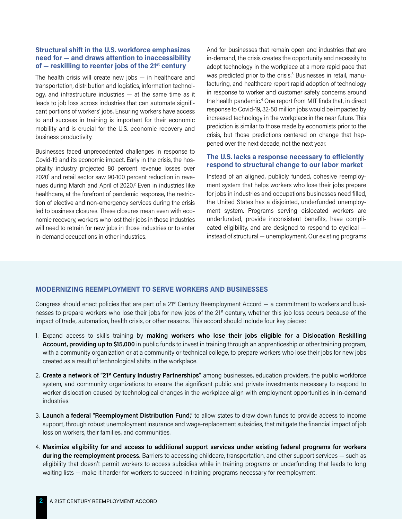# **Structural shift in the U.S. workforce emphasizes need for — and draws attention to inaccessibility of — reskilling to reenter jobs of the 21st century**

The health crisis will create new jobs — in healthcare and transportation, distribution and logistics, information technology, and infrastructure industries — at the same time as it leads to job loss across industries that can automate significant portions of workers' jobs. Ensuring workers have access to and success in training is important for their economic mobility and is crucial for the U.S. economic recovery and business productivity.

Businesses faced unprecedented challenges in response to Covid-19 and its economic impact. Early in the crisis, the hospitality industry projected 80 percent revenue losses over 2020<sup>1</sup> and retail sector saw 90-100 percent reduction in revenues during March and April of 2020.<sup>2</sup> Even in industries like healthcare, at the forefront of pandemic response, the restriction of elective and non-emergency services during the crisis led to business closures. These closures mean even with economic recovery, workers who lost their jobs in those industries will need to retrain for new jobs in those industries or to enter in-demand occupations in other industries.

And for businesses that remain open and industries that are in-demand, the crisis creates the opportunity and necessity to adopt technology in the workplace at a more rapid pace that was predicted prior to the crisis.<sup>3</sup> Businesses in retail, manufacturing, and healthcare report rapid adoption of technology in response to worker and customer safety concerns around the health pandemic.4 One report from MIT finds that, in direct response to Covid-19, 32-50 million jobs would be impacted by increased technology in the workplace in the near future. This prediction is similar to those made by economists prior to the crisis, but those predictions centered on change that happened over the next decade, not the next year.

# **The U.S. lacks a response necessary to efficiently respond to structural change to our labor market**

Instead of an aligned, publicly funded, cohesive reemployment system that helps workers who lose their jobs prepare for jobs in industries and occupations businesses need filled, the United States has a disjointed, underfunded unemployment system. Programs serving dislocated workers are underfunded, provide inconsistent benefits, have complicated eligibility, and are designed to respond to cyclical instead of structural — unemployment. Our existing programs

# **MODERNIZING REEMPLOYMENT TO SERVE WORKERS AND BUSINESSES**

Congress should enact policies that are part of a 21st Century Reemployment Accord — a commitment to workers and businesses to prepare workers who lose their jobs for new jobs of the 21st century, whether this job loss occurs because of the impact of trade, automation, health crisis, or other reasons. This accord should include four key pieces:

- 1. Expand access to skills training by **making workers who lose their jobs eligible for a Dislocation Reskilling Account, providing up to \$15,000** in public funds to invest in training through an apprenticeship or other training program, with a community organization or at a community or technical college, to prepare workers who lose their jobs for new jobs created as a result of technological shifts in the workplace.
- 2. **Create a network of "21st Century Industry Partnerships"** among businesses, education providers, the public workforce system, and community organizations to ensure the significant public and private investments necessary to respond to worker dislocation caused by technological changes in the workplace align with employment opportunities in in-demand industries.
- 3. **Launch a federal "Reemployment Distribution Fund,"** to allow states to draw down funds to provide access to income support, through robust unemployment insurance and wage-replacement subsidies, that mitigate the financial impact of job loss on workers, their families, and communities.
- 4. **Maximize eligibility for and access to additional support services under existing federal programs for workers during the reemployment process.** Barriers to accessing childcare, transportation, and other support services — such as eligibility that doesn't permit workers to access subsidies while in training programs or underfunding that leads to long waiting lists — make it harder for workers to succeed in training programs necessary for reemployment.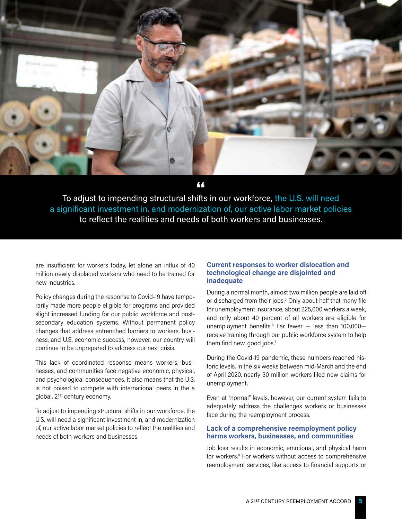

To adjust to impending structural shifts in our workforce, the U.S. will need **"**a significant investment in, and modernization of, our active labor market policies to reflect the realities and needs of both workers and businesses.

are insufficient for workers today, let alone an influx of 40 million newly displaced workers who need to be trained for new industries.

Policy changes during the response to Covid-19 have temporarily made more people eligible for programs and provided slight increased funding for our public workforce and postsecondary education systems. Without permanent policy changes that address entrenched barriers to workers, business, and U.S. economic success, however, our country will continue to be unprepared to address our next crisis.

This lack of coordinated response means workers, businesses, and communities face negative economic, physical, and psychological consequences. It also means that the U.S. is not poised to compete with international peers in the a global, 21<sup>st</sup> century economy.

To adjust to impending structural shifts in our workforce, the U.S. will need a significant investment in, and modernization of, our active labor market policies to reflect the realities and needs of both workers and businesses.

# **Current responses to worker dislocation and technological change are disjointed and inadequate**

During a normal month, almost two million people are laid off or discharged from their jobs.<sup>5</sup> Only about half that many file for unemployment insurance, about 225,000 workers a week, and only about 40 percent of all workers are eligible for unemployment benefits.<sup>6</sup> Far fewer – less than 100,000– receive training through our public workforce system to help them find new, good jobs.<sup>7</sup>

During the Covid-19 pandemic, these numbers reached historic levels. In the six weeks between mid-March and the end of April 2020, nearly 30 million workers filed new claims for unemployment.

Even at "normal" levels, however, our current system fails to adequately address the challenges workers or businesses face during the reemployment process.

# **Lack of a comprehensive reemployment policy harms workers, businesses, and communities**

Job loss results in economic, emotional, and physical harm for workers.<sup>8</sup> For workers without access to comprehensive reemployment services, like access to financial supports or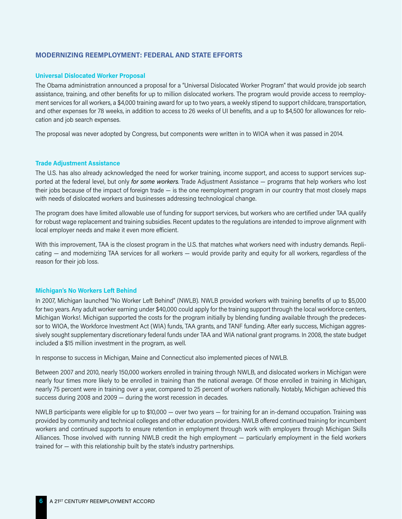# **MODERNIZING REEMPLOYMENT: FEDERAL AND STATE EFFORTS**

#### **Universal Dislocated Worker Proposal**

The Obama administration announced a proposal for a "Universal Dislocated Worker Program" that would provide job search assistance, training, and other benefits for up to million dislocated workers. The program would provide access to reemployment services for all workers, a \$4,000 training award for up to two years, a weekly stipend to support childcare, transportation, and other expenses for 78 weeks, in addition to access to 26 weeks of UI benefits, and a up to \$4,500 for allowances for relocation and job search expenses.

The proposal was never adopted by Congress, but components were written in to WIOA when it was passed in 2014.

#### **Trade Adjustment Assistance**

The U.S. has also already acknowledged the need for worker training, income support, and access to support services supported at the federal level, but only *for some workers*. Trade Adjustment Assistance — programs that help workers who lost their jobs because of the impact of foreign trade — is the one reemployment program in our country that most closely maps with needs of dislocated workers and businesses addressing technological change.

The program does have limited allowable use of funding for support services, but workers who are certified under TAA qualify for robust wage replacement and training subsidies. Recent updates to the regulations are intended to improve alignment with local employer needs and make it even more efficient.

With this improvement, TAA is the closest program in the U.S. that matches what workers need with industry demands. Replicating — and modernizing TAA services for all workers — would provide parity and equity for all workers, regardless of the reason for their job loss.

#### **Michigan's No Workers Left Behind**

In 2007, Michigan launched "No Worker Left Behind" (NWLB). NWLB provided workers with training benefits of up to \$5,000 for two years. Any adult worker earning under \$40,000 could apply for the training support through the local workforce centers, Michigan Works!. Michigan supported the costs for the program initially by blending funding available through the predecessor to WIOA, the Workforce Investment Act (WIA) funds, TAA grants, and TANF funding. After early success, Michigan aggressively sought supplementary discretionary federal funds under TAA and WIA national grant programs. In 2008, the state budget included a \$15 million investment in the program, as well.

In response to success in Michigan, Maine and Connecticut also implemented pieces of NWLB.

Between 2007 and 2010, nearly 150,000 workers enrolled in training through NWLB, and dislocated workers in Michigan were nearly four times more likely to be enrolled in training than the national average. Of those enrolled in training in Michigan, nearly 75 percent were in training over a year, compared to 25 percent of workers nationally. Notably, Michigan achieved this success during 2008 and 2009 — during the worst recession in decades.

NWLB participants were eligible for up to \$10,000 — over two years — for training for an in-demand occupation. Training was provided by community and technical colleges and other education providers. NWLB offered continued training for incumbent workers and continued supports to ensure retention in employment through work with employers through Michigan Skills Alliances. Those involved with running NWLB credit the high employment — particularly employment in the field workers trained for — with this relationship built by the state's industry partnerships.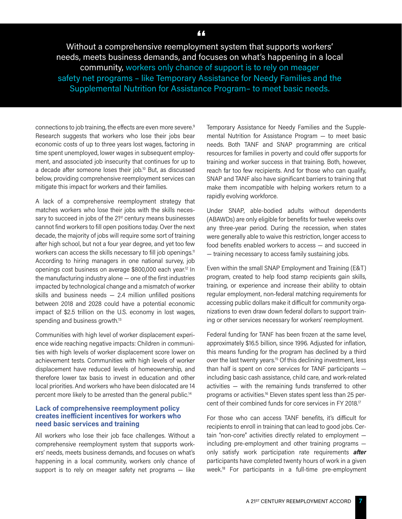# Without a comprehensive reemployment system that supports workers' needs, meets business demands, and focuses on what's happening in a local community, workers only chance of support is to rely on meager safety net programs - like Temporary Assistance for Needy Families and the Supplemental Nutrition for Assistance Program– to meet basic needs.

connections to job training, the effects are even more severe.9 Research suggests that workers who lose their jobs bear economic costs of up to three years lost wages, factoring in time spent unemployed, lower wages in subsequent employment, and associated job insecurity that continues for up to a decade after someone loses their job.10 But, as discussed below, providing comprehensive reemployment services can mitigate this impact for workers and their families.

A lack of a comprehensive reemployment strategy that matches workers who lose their jobs with the skills necessary to succeed in jobs of the 21<sup>st</sup> century means businesses cannot find workers to fill open positions today. Over the next decade, the majority of jobs will require some sort of training after high school, but not a four year degree, and yet too few workers can access the skills necessary to fill job openings.<sup>11</sup> According to hiring managers in one national survey, job openings cost business on average \$800,000 each year.12 In the manufacturing industry alone — one of the first industries impacted by technological change and a mismatch of worker skills and business needs  $-2.4$  million unfilled positions between 2018 and 2028 could have a potential economic impact of \$2.5 trillion on the U.S. economy in lost wages, spending and business growth.<sup>13</sup>

Communities with high level of worker displacement experience wide reaching negative impacts: Children in communities with high levels of worker displacement score lower on achievement tests. Communities with high levels of worker displacement have reduced levels of homeownership, and therefore lower tax basis to invest in education and other local priorities. And workers who have been dislocated are 14 percent more likely to be arrested than the general public.<sup>14</sup>

# **Lack of comprehensive reemployment policy creates inefficient incentives for workers who need basic services and training**

All workers who lose their job face challenges. Without a comprehensive reemployment system that supports workers' needs, meets business demands, and focuses on what's happening in a local community, workers only chance of support is to rely on meager safety net programs - like

Temporary Assistance for Needy Families and the Supplemental Nutrition for Assistance Program — to meet basic needs. Both TANF and SNAP programming are critical resources for families in poverty and could offer supports for training and worker success in that training. Both, however, reach far too few recipients. And for those who can qualify, SNAP and TANF also have significant barriers to training that make them incompatible with helping workers return to a rapidly evolving workforce.

Under SNAP, able-bodied adults without dependents (ABAWDs) are only eligible for benefits for twelve weeks over any three-year period. During the recession, when states were generally able to waive this restriction, longer access to food benefits enabled workers to access — and succeed in — training necessary to access family sustaining jobs.

Even within the small SNAP Employment and Training (E&T) program, created to help food stamp recipients gain skills, training, or experience and increase their ability to obtain regular employment, non-federal matching requirements for accessing public dollars make it difficult for community organizations to even draw down federal dollars to support training or other services necessary for workers' reemployment.

Federal funding for TANF has been frozen at the same level, approximately \$16.5 billion, since 1996. Adjusted for inflation, this means funding for the program has declined by a third over the last twenty years.15 Of this declining investment, less than half is spent on core services for TANF participants including basic cash assistance, child care, and work-related activities — with the remaining funds transferred to other programs or activities.16 Eleven states spent less than 25 percent of their combined funds for core services in FY 2018.17

For those who can access TANF benefits, it's difficult for recipients to enroll in training that can lead to good jobs. Certain "non-core" activities directly related to employment including pre-employment and other training programs only satisfy work participation rate requirements *after* participants have completed twenty hours of work in a given week.18 For participants in a full-time pre-employment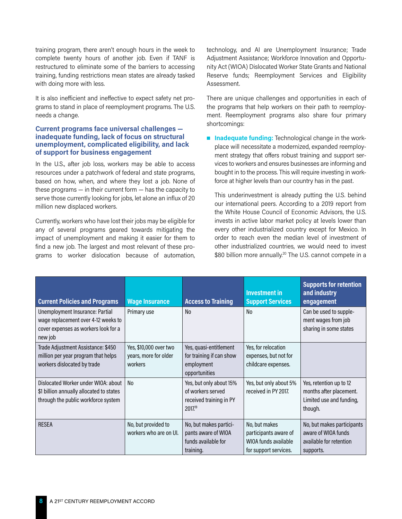training program, there aren't enough hours in the week to complete twenty hours of another job. Even if TANF is restructured to eliminate some of the barriers to accessing training, funding restrictions mean states are already tasked with doing more with less.

It is also inefficient and ineffective to expect safety net programs to stand in place of reemployment programs. The U.S. needs a change.

## **Current programs face universal challenges inadequate funding, lack of focus on structural unemployment, complicated eligibility, and lack of support for business engagement**

In the U.S., after job loss, workers may be able to access resources under a patchwork of federal and state programs, based on how, when, and where they lost a job. None of these programs — in their current form — has the capacity to serve those currently looking for jobs, let alone an influx of 20 million new displaced workers.

Currently, workers who have lost their jobs may be eligible for any of several programs geared towards mitigating the impact of unemployment and making it easier for them to find a new job. The largest and most relevant of these programs to worker dislocation because of automation, technology, and AI are Unemployment Insurance; Trade Adjustment Assistance; Workforce Innovation and Opportunity Act (WIOA) Dislocated Worker State Grants and National Reserve funds; Reemployment Services and Eligibility Assessment.

There are unique challenges and opportunities in each of the programs that help workers on their path to reemployment. Reemployment programs also share four primary shortcomings:

**n Inadequate funding:** Technological change in the workplace will necessitate a modernized, expanded reemployment strategy that offers robust training and support services to workers and ensures businesses are informing and bought in to the process. This will require investing in workforce at higher levels than our country has in the past.

This underinvestment is already putting the U.S. behind our international peers. According to a 2019 report from the White House Council of Economic Advisors, the U.S. invests in active labor market policy at levels lower than every other industrialized country except for Mexico. In order to reach even the median level of investment of other industrialized countries, we would need to invest \$80 billion more annually.<sup>20</sup> The U.S. cannot compete in a

| <b>Current Policies and Programs</b>                                                                                      | <b>Wage Insurance</b>                                      | <b>Access to Training</b>                                                          | <b>Investment in</b><br><b>Support Services</b>                                         | <b>Supports for retention</b><br>and industry<br>engagement                               |
|---------------------------------------------------------------------------------------------------------------------------|------------------------------------------------------------|------------------------------------------------------------------------------------|-----------------------------------------------------------------------------------------|-------------------------------------------------------------------------------------------|
| Unemployment Insurance: Partial<br>wage replacement over 4-12 weeks to<br>cover expenses as workers look for a<br>new job | Primary use                                                | No                                                                                 | No                                                                                      | Can be used to supple-<br>ment wages from job<br>sharing in some states                   |
| Trade Adjustment Assistance: \$450<br>million per year program that helps<br>workers dislocated by trade                  | Yes, \$10,000 over two<br>years, more for older<br>workers | Yes, quasi-entitlement<br>for training if can show<br>employment<br>opportunities  | Yes, for relocation<br>expenses, but not for<br>childcare expenses.                     |                                                                                           |
| Dislocated Worker under WIOA: about<br>\$1 billion annually allocated to states<br>through the public workforce system    | N <sub>o</sub>                                             | Yes, but only about 15%<br>of workers served<br>received training in PY<br>2017.19 | Yes, but only about 5%<br>received in PY 2017.                                          | Yes, retention up to 12<br>months after placement.<br>Limited use and funding,<br>though. |
| <b>RESEA</b>                                                                                                              | No, but provided to<br>workers who are on UI.              | No, but makes partici-<br>pants aware of WIOA<br>funds available for<br>training.  | No, but makes<br>participants aware of<br>WIOA funds available<br>for support services. | No, but makes participants<br>aware of WIOA funds<br>available for retention<br>supports. |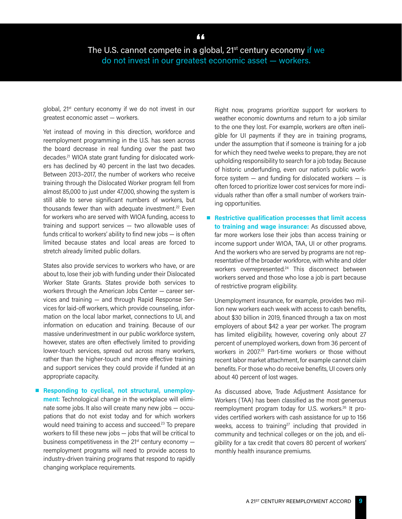The U.S. cannot compete in a global, 21st century economy if we **"**do not invest in our greatest economic asset — workers.

global, 21<sup>st</sup> century economy if we do not invest in our greatest economic asset — workers.

Yet instead of moving in this direction, workforce and reemployment programming in the U.S. has seen across the board decrease in real funding over the past two decades.21 WIOA state grant funding for dislocated workers has declined by 40 percent in the last two decades. Between 2013–2017, the number of workers who receive training through the Dislocated Worker program fell from almost 85,000 to just under 47,000, showing the system is still able to serve significant numbers of workers, but thousands fewer than with adequate investment.<sup>22</sup> Even for workers who are served with WIOA funding, access to training and support services — two allowable uses of funds critical to workers' ability to find new jobs — is often limited because states and local areas are forced to stretch already limited public dollars.

States also provide services to workers who have, or are about to, lose their job with funding under their Dislocated Worker State Grants. States provide both services to workers through the American Jobs Center — career services and training — and through Rapid Response Services for laid-off workers, which provide counseling, information on the local labor market, connections to UI, and information on education and training. Because of our massive underinvestment in our public workforce system, however, states are often effectively limited to providing lower-touch services, spread out across many workers, rather than the higher-touch and more effective training and support services they could provide if funded at an appropriate capacity.

■ Responding to cyclical, not structural, unemploy**ment:** Technological change in the workplace will eliminate some jobs. It also will create many new jobs — occupations that do not exist today and for which workers would need training to access and succeed.<sup>23</sup> To prepare workers to fill these new jobs — jobs that will be critical to business competitiveness in the  $21^{st}$  century economy  $$ reemployment programs will need to provide access to industry-driven training programs that respond to rapidly changing workplace requirements.

Right now, programs prioritize support for workers to weather economic downturns and return to a job similar to the one they lost. For example, workers are often ineligible for UI payments if they are in training programs, under the assumption that if someone is training for a job for which they need twelve weeks to prepare, they are not upholding responsibility to search for a job today. Because of historic underfunding, even our nation's public workforce system  $-$  and funding for dislocated workers  $-$  is often forced to prioritize lower cost services for more individuals rather than offer a small number of workers training opportunities.

■ Restrictive qualification processes that limit access **to training and wage insurance:** As discussed above, far more workers lose their jobs than access training or income support under WIOA, TAA, UI or other programs. And the workers who are served by programs are not representative of the broader workforce, with white and older workers overrepresented.<sup>24</sup> This disconnect between workers served and those who lose a job is part because of restrictive program eligibility.

Unemployment insurance, for example, provides two million new workers each week with access to cash benefits, about \$30 billion in 2019, financed through a tax on most employers of about \$42 a year per worker. The program has limited eligibility, however, covering only about 27 percent of unemployed workers, down from 36 percent of workers in 2007.25 Part-time workers or those without recent labor market attachment, for example cannot claim benefits. For those who do receive benefits, UI covers only about 40 percent of lost wages.

As discussed above, Trade Adjustment Assistance for Workers (TAA) has been classified as the most generous reemployment program today for U.S. workers.26 It provides certified workers with cash assistance for up to 156 weeks, access to training<sup>27</sup> including that provided in community and technical colleges or on the job, and eligibility for a tax credit that covers 80 percent of workers' monthly health insurance premiums.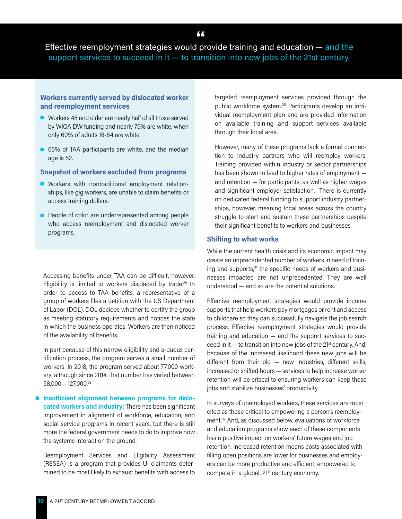Effective reemployment strategies would provide training and education — and the support services to succeed in it — to transition into new jobs of the 21st century.

# **Workers currently served by dislocated worker and reemployment services**

- Workers 45 and older are nearly half of all those served by WIOA DW funding and nearly 75% are white, when only 60% of adults 18-64 are white.
- 65% of TAA participants are white, and the median age is 52.

#### **Snapshot of workers excluded from programs**

- **Norkers** with nontraditional employment relationships, like gig workers, are unable to claim benefits or access training dollars.
- **People of color are underrepresented among people** who access reemployment and dislocated worker programs.

Accessing benefits under TAA can be difficult, however. Eligibility is limited to workers displaced by trade.<sup>28</sup> In order to access to TAA benefits, a representative of a group of workers files a petition with the US Department of Labor (DOL). DOL decides whether to certify the group as meeting statutory requirements and notices the state in which the business operates. Workers are then noticed of the availability of benefits.

In part because of this narrow eligibility and arduous certification process, the program serves a small number of workers. In 2018, the program served about 77,000 workers, although since 2014, that number has varied between 58,000 – 127,000.29

 $\blacksquare$  Insufficient alignment between programs for dislo**cated workers and industry:** There has been significant improvement in alignment of workforce, education, and social service programs in recent years, but there is still more the federal government needs to do to improve how the systems interact on the ground.

Reemployment Services and Eligibility Assessment (RESEA) is a program that provides UI claimants determined to be most likely to exhaust benefits with access to targeted reemployment services provided through the public workforce system.30 Participants develop an individual reemployment plan and are provided information on available training and support services available through their local area.

However, many of these programs lack a formal connection to industry partners who will reemploy workers. Training provided within industry or sector partnerships has been shown to lead to higher rates of employment and retention — for participants, as well as higher wages and significant employer satisfaction. There is currently no dedicated federal funding to support industry partnerships, however, meaning local areas across the country struggle to start and sustain these partnerships despite their significant benefits to workers and businesses.

#### **Shifting to what works**

While the current health crisis and its economic impact may create an unprecedented number of workers in need of training and supports, $31$  the specific needs of workers and businesses impacted are not unprecedented. They are well understood — and so are the potential solutions.

Effective reemployment strategies would provide income supports that help workers pay mortgages or rent and access to childcare so they can successfully navigate the job search process. Effective reemployment strategies would provide training and education — and the support services to succeed in it  $-$  to transition into new jobs of the 21<sup>st</sup> century. And, because of the increased likelihood these new jobs will be different from their old — new industries, different skills, increased or shifted hours — services to help increase worker retention will be critical to ensuring workers can keep these jobs and stabilize businesses' productivity.

In surveys of unemployed workers, these services are most cited as those critical to empowering a person's reemployment.32 And, as discussed below, evaluations of workforce and education programs show each of these components has a positive impact on workers' future wages and job retention. Increased retention means costs associated with filling open positions are lower for businesses and employers can be more productive and efficient, empowered to compete in a global, 21<sup>st</sup> century economy.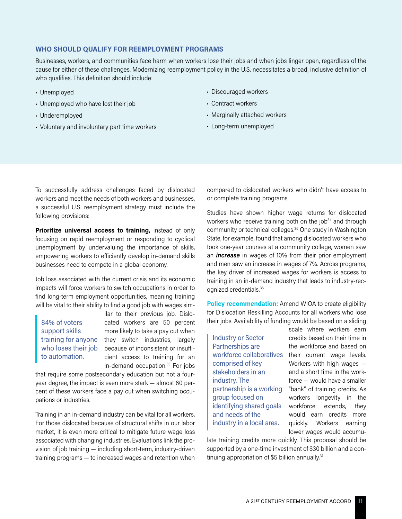## **WHO SHOULD QUALIFY FOR REEMPLOYMENT PROGRAMS**

Businesses, workers, and communities face harm when workers lose their jobs and when jobs linger open, regardless of the cause for either of these challenges. Modernizing reemployment policy in the U.S. necessitates a broad, inclusive definition of who qualifies. This definition should include:

- Unemployed
- Unemployed who have lost their job
- Underemployed
- Voluntary and involuntary part time workers
- Discouraged workers
- Contract workers
- Marginally attached workers
- Long-term unemployed

To successfully address challenges faced by dislocated workers and meet the needs of both workers and businesses, a successful U.S. reemployment strategy must include the following provisions:

**Prioritize universal access to training,** instead of only focusing on rapid reemployment or responding to cyclical unemployment by undervaluing the importance of skills, empowering workers to efficiently develop in-demand skills businesses need to compete in a global economy.

Job loss associated with the current crisis and its economic impacts will force workers to switch occupations in order to find long-term employment opportunities, meaning training will be vital to their ability to find a good job with wages sim-

84% of voters support skills to automation.

ilar to their previous job. Dislocated workers are 50 percent more likely to take a pay cut when training for anyone they switch industries, largely who loses their job because of inconsistent or insufficient access to training for an in-demand occupation.<sup>33</sup> For jobs

that require some postsecondary education but not a fouryear degree, the impact is even more stark — almost 60 percent of these workers face a pay cut when switching occupations or industries.

Training in an in-demand industry can be vital for all workers. For those dislocated because of structural shifts in our labor market, it is even more critical to mitigate future wage loss associated with changing industries. Evaluations link the provision of job training — including short-term, industry-driven training programs — to increased wages and retention when

compared to dislocated workers who didn't have access to or complete training programs.

Studies have shown higher wage returns for dislocated workers who receive training both on the job<sup>34</sup> and through community or technical colleges.35 One study in Washington State, for example, found that among dislocated workers who took one-year courses at a community college, women saw an *increase* in wages of 10% from their prior employment and men saw an increase in wages of 7%. Across programs, the key driver of increased wages for workers is access to training in an in-demand industry that leads to industry-recognized credentials.36

**Policy recommendation:** Amend WIOA to create eligibility for Dislocation Reskilling Accounts for all workers who lose their jobs. Availability of funding would be based on a sliding

Industry or Sector Partnerships are workforce collaboratives comprised of key stakeholders in an industry. The partnership is a working group focused on identifying shared goals and needs of the industry in a local area.

scale where workers earn credits based on their time in the workforce and based on their current wage levels. Workers with high wages and a short time in the workforce — would have a smaller "bank" of training credits. As workers longevity in the workforce extends, they would earn credits more quickly. Workers earning lower wages would accumu-

late training credits more quickly. This proposal should be supported by a one-time investment of \$30 billion and a continuing appropriation of \$5 billion annually.<sup>37</sup>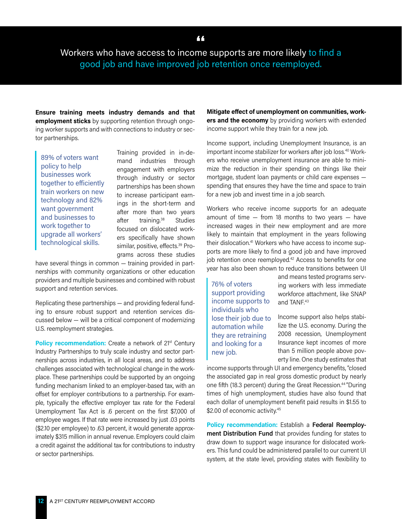Workers who have access to income supports are more likely to find a good job and have improved job retention once reemployed.

**Ensure training meets industry demands and that employment sticks** by supporting retention through ongoing worker supports and with connections to industry or sector partnerships.

89% of voters want policy to help businesses work together to efficiently train workers on new technology and 82% want government and businesses to work together to upgrade all workers' technological skills.

Training provided in in-demand industries through engagement with employers through industry or sector partnerships has been shown to increase participant earnings in the short-term and after more than two years after training.38 Studies focused on dislocated workers specifically have shown similar, positive, effects.<sup>39</sup> Programs across these studies

have several things in common — training provided in partnerships with community organizations or other education providers and multiple businesses and combined with robust support and retention services.

Replicating these partnerships — and providing federal funding to ensure robust support and retention services discussed below — will be a critical component of modernizing U.S. reemployment strategies.

**Policy recommendation:** Create a network of 21<sup>st</sup> Century Industry Partnerships to truly scale industry and sector partnerships across industries, in all local areas, and to address challenges associated with technological change in the workplace. These partnerships could be supported by an ongoing funding mechanism linked to an employer-based tax, with an offset for employer contributions to a partnership. For example, typically the effective employer tax rate for the Federal Unemployment Tax Act is .6 percent on the first \$7,000 of employee wages. If that rate were increased by just .03 points (\$2.10 per employee) to .63 percent, it would generate approximately \$315 million in annual revenue. Employers could claim a credit against the additional tax for contributions to industry or sector partnerships.

**Mitigate effect of unemployment on communities, workers and the economy** by providing workers with extended income support while they train for a new job.

Income support, including Unemployment Insurance, is an important income stabilizer for workers after job loss.<sup>40</sup> Workers who receive unemployment insurance are able to minimize the reduction in their spending on things like their mortgage, student loan payments or child care expenses spending that ensures they have the time and space to train for a new job and invest time in a job search.

Workers who receive income supports for an adequate amount of time  $-$  from 18 months to two years  $-$  have increased wages in their new employment and are more likely to maintain that employment in the years following their dislocation.41 Workers who have access to income supports are more likely to find a good job and have improved job retention once reemployed.<sup>42</sup> Access to benefits for one year has also been shown to reduce transitions between UI

76% of voters support providing income supports to individuals who lose their job due to automation while they are retraining and looking for a new job.

and means tested programs serving workers with less immediate workforce attachment, like SNAP and TANF.<sup>43</sup>

Income support also helps stabilize the U.S. economy. During the 2008 recession, Unemployment Insurance kept incomes of more than 5 million people above poverty line. One study estimates that

income supports through UI and emergency benefits, "closed the associated gap in real gross domestic product by nearly one fifth (18.3 percent) during the Great Recession.<sup>44</sup> "During times of high unemployment, studies have also found that each dollar of unemployment benefit paid results in \$1.55 to \$2.00 of economic activity.<sup>45</sup>

**Policy recommendation:** Establish a **Federal Reemployment Distribution Fund** that provides funding for states to draw down to support wage insurance for dislocated workers. This fund could be administered parallel to our current UI system, at the state level, providing states with flexibility to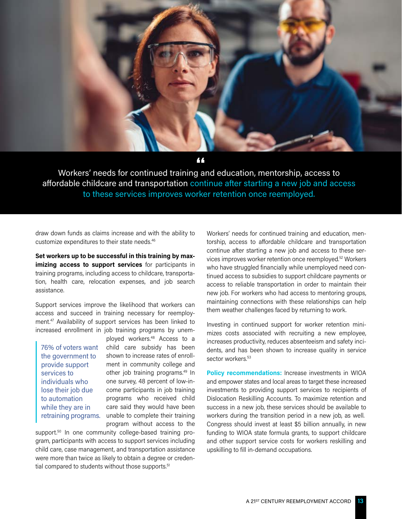

Workers' needs for continued training and education, mentorship, access to **"**affordable childcare and transportation continue after starting a new job and access to these services improves worker retention once reemployed.

draw down funds as claims increase and with the ability to customize expenditures to their state needs.46

**Set workers up to be successful in this training by maximizing access to support services** for participants in training programs, including access to childcare, transportation, health care, relocation expenses, and job search assistance.

Support services improve the likelihood that workers can access and succeed in training necessary for reemployment.47 Availability of support services has been linked to increased enrollment in job training programs by unem-

76% of voters want the government to provide support services to individuals who lose their job due to automation while they are in retraining programs.

ployed workers.48 Access to a child care subsidy has been shown to increase rates of enrollment in community college and other job training programs.<sup>49</sup> In one survey, 48 percent of low-income participants in job training programs who received child care said they would have been unable to complete their training program without access to the

support.<sup>50</sup> In one community college-based training program, participants with access to support services including child care, case management, and transportation assistance were more than twice as likely to obtain a degree or credential compared to students without those supports.<sup>51</sup>

Workers' needs for continued training and education, mentorship, access to affordable childcare and transportation continue after starting a new job and access to these services improves worker retention once reemployed.52 Workers who have struggled financially while unemployed need continued access to subsidies to support childcare payments or access to reliable transportation in order to maintain their new job. For workers who had access to mentoring groups, maintaining connections with these relationships can help them weather challenges faced by returning to work.

Investing in continued support for worker retention minimizes costs associated with recruiting a new employee, increases productivity, reduces absenteeism and safety incidents, and has been shown to increase quality in service sector workers.<sup>53</sup>

**Policy recommendations:** Increase investments in WIOA and empower states and local areas to target these increased investments to providing support services to recipients of Dislocation Reskilling Accounts. To maximize retention and success in a new job, these services should be available to workers during the transition period in a new job, as well. Congress should invest at least \$5 billion annually, in new funding to WIOA state formula grants, to support childcare and other support service costs for workers reskilling and upskilling to fill in-demand occupations.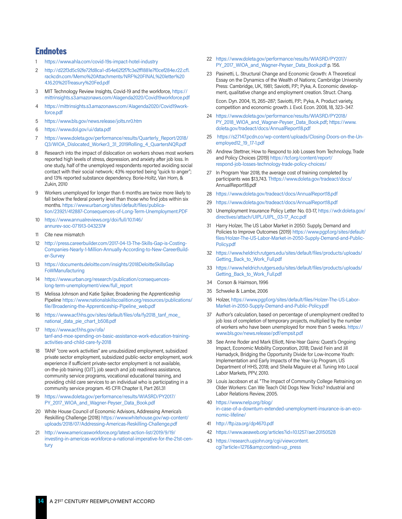# **Endnotes**

- <https://www.ahla.com/covid-19s-impact-hotel-industry>
- 2 [http://d22f3d5c92fe72fd8ca1-d54e62f2f7fc3e2ff1881e7f0cef284e.r22.cf1.](http://d22f3d5c92fe72fd8ca1-d54e62f2f7fc3e2ff1881e7f0cef284e.r22.cf1.rackcdn.com/Memo%20Attachments/NRF%20FINAL%20letter%204.16.20%20Treasury%20Fed.pdf) [rackcdn.com/Memo%20Attachments/NRF%20FINAL%20letter%20](http://d22f3d5c92fe72fd8ca1-d54e62f2f7fc3e2ff1881e7f0cef284e.r22.cf1.rackcdn.com/Memo%20Attachments/NRF%20FINAL%20letter%204.16.20%20Treasury%20Fed.pdf) [4.16.20%20Treasury%20Fed.pdf](http://d22f3d5c92fe72fd8ca1-d54e62f2f7fc3e2ff1881e7f0cef284e.r22.cf1.rackcdn.com/Memo%20Attachments/NRF%20FINAL%20letter%204.16.20%20Treasury%20Fed.pdf)
- 3 MIT Technology Review Insights, Covid-19 and the workforce, [https://](https://mittrinsights.s3.amazonaws.com/AIagenda2020/Covid19workforce.pdf) [mittrinsights.s3.amazonaws.com/AIagenda2020/Covid19workforce.pdf](https://mittrinsights.s3.amazonaws.com/AIagenda2020/Covid19workforce.pdf)
- 4 [https://mittrinsights.s3.amazonaws.com/AIagenda2020/Covid19work](https://mittrinsights.s3.amazonaws.com/AIagenda2020/Covid19workforce.pdf)[force.pdf](https://mittrinsights.s3.amazonaws.com/AIagenda2020/Covid19workforce.pdf)
- 5 <https://www.bls.gov/news.release/jolts.nr0.htm>
- 6 <https://www.dol.gov/ui/data.pdf>
- 7 [https://www.doleta.gov/performance/results/Quarterly\\_Report/2018/](https://www.doleta.gov/performance/results/Quarterly_Report/2018/Q3/WIOA_Dislocated_Worker3_31_2019Rolling_4_QuartersNQR.pdf) [Q3/WIOA\\_Dislocated\\_Worker3\\_31\\_2019Rolling\\_4\\_QuartersNQR.pdf](https://www.doleta.gov/performance/results/Quarterly_Report/2018/Q3/WIOA_Dislocated_Worker3_31_2019Rolling_4_QuartersNQR.pdf)
- 8 Research into the impact of dislocation on workers shows most workers reported high levels of stress, depression, and anxiety after job loss. In one study, half of the unemployed respondents reported avoiding social contact with their social network; 43% reported being "quick to anger"; and 13% reported substance dependency. Borie-Holtz, Van Horn, & Zukin, 2010
- 9 Workers unemployed for longer than 6 months are twice more likely to fall below the federal poverty level than those who find jobs within six months. [https://www.urban.org/sites/default/files/publica](https://www.urban.org/sites/default/files/publication/23921/412887-Consequences-of-Long-Term-Unemployment.PDF)[tion/23921/412887-Consequences-of-Long-Term-Unemployment.PDF](https://www.urban.org/sites/default/files/publication/23921/412887-Consequences-of-Long-Term-Unemployment.PDF)
- 10 [https://www.annualreviews.org/doi/full/10.1146/](https://www.annualreviews.org/doi/full/10.1146/annurev-soc-071913-043237#) [annurev-soc-071913-043237#](https://www.annualreviews.org/doi/full/10.1146/annurev-soc-071913-043237#)
- 11 Cite new mismatch
- 12 [http://press.careerbuilder.com/2017-04-13-The-Skills-Gap-is-Costing-](http://press.careerbuilder.com/2017-04-13-The-Skills-Gap-is-Costing-Companies-Nearly-1-Million-Annually-According-to-New-CareerBuilder-Survey)[Companies-Nearly-1-Million-Annually-According-to-New-CareerBuild](http://press.careerbuilder.com/2017-04-13-The-Skills-Gap-is-Costing-Companies-Nearly-1-Million-Annually-According-to-New-CareerBuilder-Survey)[er-Survey](http://press.careerbuilder.com/2017-04-13-The-Skills-Gap-is-Costing-Companies-Nearly-1-Million-Annually-According-to-New-CareerBuilder-Survey)
- 13 [https://documents.deloitte.com/insights/2018DeloitteSkillsGap](https://documents.deloitte.com/insights/2018DeloitteSkillsGapFoWManufacturing) [FoWManufacturing](https://documents.deloitte.com/insights/2018DeloitteSkillsGapFoWManufacturing)
- 14 [https://www.urban.org/research/publication/consequences](https://www.urban.org/research/publication/consequences-long-term-unemployment/view/full_report)[long-term-unemployment/view/full\\_report](https://www.urban.org/research/publication/consequences-long-term-unemployment/view/full_report)
- 15 Melissa Johnson and Katie Spiker, Broadening the Apprenticeship Pipeline [https://www.nationalskillscoalition.org/resources/publications/](https://www.nationalskillscoalition.org/resources/publications/file/Broadening-the-Apprenticeship-Pipeline_web.pdf) [file/Broadening-the-Apprenticeship-Pipeline\\_web.pdf](https://www.nationalskillscoalition.org/resources/publications/file/Broadening-the-Apprenticeship-Pipeline_web.pdf)
- 16 [https://www.acf.hhs.gov/sites/default/files/ofa/fy2018\\_tanf\\_moe\\_](https://www.acf.hhs.gov/sites/default/files/ofa/fy2018_tanf_moe_national_data_pie_chart_b508.pdf) [national\\_data\\_pie\\_chart\\_b508.pdf](https://www.acf.hhs.gov/sites/default/files/ofa/fy2018_tanf_moe_national_data_pie_chart_b508.pdf)
- 17 [https://www.acf.hhs.gov/ofa/](https://www.acf.hhs.gov/ofa/tanf-and-moe-spending-on-basic-assistance-work-education-training-activities-and-child-care-fy-2018) [tanf-and-moe-spending-on-basic-assistance-work-education-training](https://www.acf.hhs.gov/ofa/tanf-and-moe-spending-on-basic-assistance-work-education-training-activities-and-child-care-fy-2018)[activities-and-child-care-fy-2018](https://www.acf.hhs.gov/ofa/tanf-and-moe-spending-on-basic-assistance-work-education-training-activities-and-child-care-fy-2018)
- 18 TANF "core work activities" are unsubsidized employment, subsidized private sector employment, subsidized public-sector employment, work experience if sufficient private-sector employment is not available, on-the-job training (OJT), job search and job readiness assistance, community service programs, vocational educational training, and providing child care services to an individual who is participating in a community service program. 45 CFR Chapter II, Part 261.31
- 19 [https://www.doleta.gov/performance/results/WIASRD/PY2017/](https://www.doleta.gov/performance/results/WIASRD/PY2017/PY_2017_WIOA_and_Wagner-Peyser_Data_Book.pdf) [PY\\_2017\\_WIOA\\_and\\_Wagner-Peyser\\_Data\\_Book.pdf](https://www.doleta.gov/performance/results/WIASRD/PY2017/PY_2017_WIOA_and_Wagner-Peyser_Data_Book.pdf)
- 20 White House Council of Economic Advisors, Addressing America's Reskilling Challenge (2018) [https://www.whitehouse.gov/wp-content/](https://www.whitehouse.gov/wp-content/uploads/2018/07/Addressing-Americas-Reskilling-Challenge.pdf) [uploads/2018/07/Addressing-Americas-Reskilling-Challenge.pdf](https://www.whitehouse.gov/wp-content/uploads/2018/07/Addressing-Americas-Reskilling-Challenge.pdf)
- 21 [http://www.americasworkforce.org/latest-action-list/2019/9/19/](http://www.americasworkforce.org/latest-action-list/2019/9/19/investing-in-americas-workforce-a-national-imperative-for-the-21st-century) [investing-in-americas-workforce-a-national-imperative-for-the-21st-cen](http://www.americasworkforce.org/latest-action-list/2019/9/19/investing-in-americas-workforce-a-national-imperative-for-the-21st-century)[tury](http://www.americasworkforce.org/latest-action-list/2019/9/19/investing-in-americas-workforce-a-national-imperative-for-the-21st-century)
- 22 [https://www.doleta.gov/performance/results/WIASRD/PY2017/](https://www.doleta.gov/performance/results/WIASRD/PY2017/PY_2017_WIOA_and_Wagner-Peyser_Data_Book.pdf) [PY\\_2017\\_WIOA\\_and\\_Wagner-Peyser\\_Data\\_Book.pdf](https://www.doleta.gov/performance/results/WIASRD/PY2017/PY_2017_WIOA_and_Wagner-Peyser_Data_Book.pdf) p. 156.
- 23 Pasinetti, L. Structural Change and Economic Growth: A Theoretical Essay on the Dynamics of the Wealth of Nations; Cambridge University Press: Cambridge, UK, 1981; Saviotti, P.P.; Pyka, A. Economic development, qualitative change and employment creation. Struct. Chang. Econ. Dyn. 2004, 15, 265–287; Saviotti, P.P.; Pyka, A. Product variety,

competition and economic growth. J. Evol. Econ. 2008, 18, 323–347.

- 24 [https://www.doleta.gov/performance/results/WIASRD/PY2018/](https://www.doleta.gov/performance/results/WIASRD/PY2018/PY_2018_WIOA_and_Wagner-Peyser_Data_Book.pdf) [PY\\_2018\\_WIOA\\_and\\_Wagner-Peyser\\_Data\\_Book.pdf;](https://www.doleta.gov/performance/results/WIASRD/PY2018/PY_2018_WIOA_and_Wagner-Peyser_Data_Book.pdf) [https://www.](https://www.doleta.gov/tradeact/docs/AnnualReport18.pdf) [doleta.gov/tradeact/docs/AnnualReport18.pdf](https://www.doleta.gov/tradeact/docs/AnnualReport18.pdf)
- 25 [https://s27147.pcdn.co/wp-content/uploads/Closing-Doors-on-the-Un](https://s27147.pcdn.co/wp-content/uploads/Closing-Doors-on-the-Unemployed12_19_17-1.pdf)[employed12\\_19\\_17-1.pdf](https://s27147.pcdn.co/wp-content/uploads/Closing-Doors-on-the-Unemployed12_19_17-1.pdf)
- 26 Andrew Stettner, How to Respond to Job Losses from Technology, Trade and Policy Choices (2019) [https://tcf.org/content/report/](https://tcf.org/content/report/respond-job-losses-technology-trade-policy-choices/) [respond-job-losses-technology-trade-policy-choices/](https://tcf.org/content/report/respond-job-losses-technology-trade-policy-choices/)
- 27 In Program Year 2018, the average cost of training completed by participants was \$13,743. <Thttps://www.doleta.gov/tradeact/docs/> AnnualReport18.pdf
- 28 <https://www.doleta.gov/tradeact/docs/AnnualReport18.pdf>
- <https://www.doleta.gov/tradeact/docs/AnnualReport18.pdf>
- 30 Unemployment Insurance Policy Letter No. 03-17, [https://wdr.doleta.gov/](https://wdr.doleta.gov/directives/attach/UIPL/UIPL_03-17_Acc.pdf) [directives/attach/UIPL/UIPL\\_03-17\\_Acc.pdf](https://wdr.doleta.gov/directives/attach/UIPL/UIPL_03-17_Acc.pdf)
- 31 Harry Holzer, The US Labor Market in 2050: Supply, Demand and Policies to Improve Outcomes (2019) [https://www.pgpf.org/sites/default/](https://www.pgpf.org/sites/default/files/Holzer-The-US-Labor-Market-in-2050-Supply-Demand-and-Public-Policy.pdf) [files/Holzer-The-US-Labor-Market-in-2050-Supply-Demand-and-Public-](https://www.pgpf.org/sites/default/files/Holzer-The-US-Labor-Market-in-2050-Supply-Demand-and-Public-Policy.pdf)[Policy.pdf](https://www.pgpf.org/sites/default/files/Holzer-The-US-Labor-Market-in-2050-Supply-Demand-and-Public-Policy.pdf)
- 32 [https://www.heldrich.rutgers.edu/sites/default/files/products/uploads/](https://www.heldrich.rutgers.edu/sites/default/files/products/uploads/Getting_Back_to_Work_Full.pdf) [Getting\\_Back\\_to\\_Work\\_Full.pdf](https://www.heldrich.rutgers.edu/sites/default/files/products/uploads/Getting_Back_to_Work_Full.pdf)
- 33 [https://www.heldrich.rutgers.edu/sites/default/files/products/uploads/](https://www.heldrich.rutgers.edu/sites/default/files/products/uploads/Getting_Back_to_Work_Full.pdf) [Getting\\_Back\\_to\\_Work\\_Full.pdf](https://www.heldrich.rutgers.edu/sites/default/files/products/uploads/Getting_Back_to_Work_Full.pdf)
- 34 Corson & Haimson, 1996
- 35 Schweke & Lambe, 2006
- 36 Holzer, [https://www.pgpf.org/sites/default/files/Holzer-The-US-Labor-](https://www.pgpf.org/sites/default/files/Holzer-The-US-Labor-Market-in-2050-Supply-Demand-and-Public-Policy.pdf)[Market-in-2050-Supply-Demand-and-Public-Policy.pdf](https://www.pgpf.org/sites/default/files/Holzer-The-US-Labor-Market-in-2050-Supply-Demand-and-Public-Policy.pdf)
- 37 Author's calculation, based on percentage of unemployment credited to job loss of completion of temporary projects, multiplied by the number of workers who have been unemployed for more than 5 weeks. [https://](https://www.bls.gov/news.release/pdf/empsit.pdf) [www.bls.gov/news.release/pdf/empsit.pdf](https://www.bls.gov/news.release/pdf/empsit.pdf)
- 38 See Anne Roder and Mark Elliott, Nine-Year Gains: Quest's Ongoing Impact, Economic Mobility Corporation, 2018; David Fein and Jill Hamadyck, Bridging the Opportunity Divide for Low-Income Youth: Implementation and Early Impacts of the Year-Up Program, US Department of HHS, 2018; and Sheila Maguire et al. Tuning Into Local Labor Markets, PPV, 2010.
- 39 Louis Jacobson et al. "The Impact of Community College Retraining on Older Workers: Can We Teach Old Dogs New Tricks? Industrial and Labor Relations Review, 2005.
- 40 [https://www.nelp.org/blog/](https://www.nelp.org/blog/in-case-of-a-downturn-extended-unemployment-insurance-is-an-economic-lifeline/) [in-case-of-a-downturn-extended-unemployment-insurance-is-an-eco](https://www.nelp.org/blog/in-case-of-a-downturn-extended-unemployment-insurance-is-an-economic-lifeline/)[nomic-lifeline/](https://www.nelp.org/blog/in-case-of-a-downturn-extended-unemployment-insurance-is-an-economic-lifeline/)
- 41 <http://ftp.iza.org/dp4670.pdf>
- 42 <https://www.aeaweb.org/articles?id=10.1257/aer.20150528>
- 43 [https://research.upjohn.org/cgi/viewcontent.](https://research.upjohn.org/cgi/viewcontent.cgi?article=1276&context=up_press) [cgi?article=1276&context=up\\_press](https://research.upjohn.org/cgi/viewcontent.cgi?article=1276&context=up_press)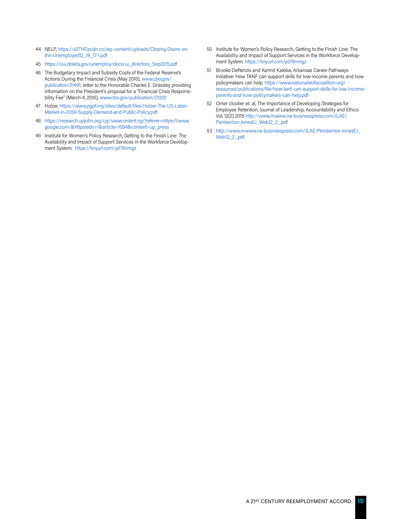- 44 NELP, [https://s27147.pcdn.co/wp-content/uploads/Closing-Doors-on](https://s27147.pcdn.co/wp-content/uploads/Closing-Doors-on-the-Unemployed12_19_17-1.pdf)[the-Unemployed12\\_19\\_17-1.pdf](https://s27147.pcdn.co/wp-content/uploads/Closing-Doors-on-the-Unemployed12_19_17-1.pdf)
- 45 [https://oui.doleta.gov/unemploy/docs/ui\\_directors\\_Sep2015.pdf](https://oui.doleta.gov/unemploy/docs/ui_directors_Sep2015.pdf)
- 46 The Budgetary Impact and Subsidy Costs of the Federal Reserve's Actions During the Financial Crisis (May 2010), [www.cbo.gov/](http://www.cbo.gov/publication/21491) [publication/21491;](http://www.cbo.gov/publication/21491) letter to the Honorable Charles E. Grassley providing information on the President's proposal for a "Financial Crisis Responsibility Fee" (March 4, 2010), [www.cbo.gov/publication/21020](http://www.cbo.gov/publication/21020)
- 47 Holzer, [https://www.pgpf.org/sites/default/files/Holzer-The-US-Labor-](https://www.pgpf.org/sites/default/files/Holzer-The-US-Labor-Market-in-2050-Supply-Demand-and-Public-Policy.pdf)[Market-in-2050-Supply-Demand-and-Public-Policy.pdf](https://www.pgpf.org/sites/default/files/Holzer-The-US-Labor-Market-in-2050-Supply-Demand-and-Public-Policy.pdf)
- 48 <https://research.upjohn.org/cgi/viewcontent.cgi?referer=https>:/[/www.](http://www.google.com/&httpsredir=1&article=1094&context=up_press) [google.com/&httpsredir=1&article=1094&context=up\\_press](http://www.google.com/&httpsredir=1&article=1094&context=up_press)
- 49 Institute for Women's Policy Research, Getting to the Finish Line: The Availability and Impact of Support Services in the Workforce Development System. <https://tinyurl.com/yd78nmgz>
- 50 Institute for Women's Policy Research, Getting to the Finish Line: The Availability and Impact of Support Services in the Workforce Development System.<https://tinyurl.com/yd78nmgz>
- 51 Brooke DeRenzis and Kermit Kaleba, Arkansas Career Pathways Initiative: How TANF can support skills for low-income parents and how policymakers can help. [https://www.nationalskillscoalition.org/](https://www.nationalskillscoalition.org/resources/publications/file/how-tanf-can-support-skills-for-low-income-parents-and-how-policymakers-can-help.pdf) [resources/publications/file/how-tanf-can-support-skills-for-low-income](https://www.nationalskillscoalition.org/resources/publications/file/how-tanf-can-support-skills-for-low-income-parents-and-how-policymakers-can-help.pdf)[parents-and-how-policymakers-can-help.pdf](https://www.nationalskillscoalition.org/resources/publications/file/how-tanf-can-support-skills-for-low-income-parents-and-how-policymakers-can-help.pdf)
- 52 Omer cloutier et. al, The Importance of Developing Strategies for Employee Retention, Journal of Leadership, Accountability and Ethics Vol. 12(2) 2015 [http://www.m.www.na-businesspress.com/JLAE/](http://www.m.www.na-businesspress.com/JLAE/Pemberton-JonesEJ_Web12_2_.pdf) [Pemberton-JonesEJ\\_Web12\\_2\\_.pdf](http://www.m.www.na-businesspress.com/JLAE/Pemberton-JonesEJ_Web12_2_.pdf)
- 53 [http://www.m.www.na-businesspress.com/JLAE/Pemberton-JonesEJ\\_](http://www.m.www.na-businesspress.com/JLAE/Pemberton-JonesEJ_Web12_2_.pdf) [Web12\\_2\\_.pdf](http://www.m.www.na-businesspress.com/JLAE/Pemberton-JonesEJ_Web12_2_.pdf)